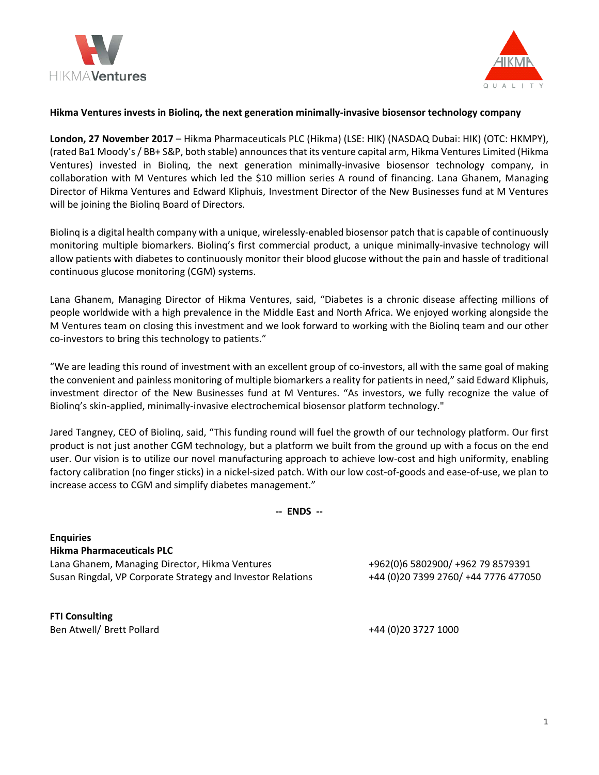



# **Hikma Ventures invests in Biolinq, the next generation minimally-invasive biosensor technology company**

**London, 27 November 2017** – Hikma Pharmaceuticals PLC (Hikma) (LSE: HIK) (NASDAQ Dubai: HIK) (OTC: HKMPY), (rated Ba1 Moody's / BB+ S&P, both stable) announces that its venture capital arm, Hikma Ventures Limited (Hikma Ventures) invested in Biolinq, the next generation minimally-invasive biosensor technology company, in collaboration with M Ventures which led the \$10 million series A round of financing. Lana Ghanem, Managing Director of Hikma Ventures and Edward Kliphuis, Investment Director of the New Businesses fund at M Ventures will be joining the Biolinq Board of Directors.

Biolinq is a digital health company with a unique, wirelessly-enabled biosensor patch that is capable of continuously monitoring multiple biomarkers. Biolinq's first commercial product, a unique minimally-invasive technology will allow patients with diabetes to continuously monitor their blood glucose without the pain and hassle of traditional continuous glucose monitoring (CGM) systems.

Lana Ghanem, Managing Director of Hikma Ventures, said, "Diabetes is a chronic disease affecting millions of people worldwide with a high prevalence in the Middle East and North Africa. We enjoyed working alongside the M Ventures team on closing this investment and we look forward to working with the Biolinq team and our other co-investors to bring this technology to patients."

"We are leading this round of investment with an excellent group of co-investors, all with the same goal of making the convenient and painless monitoring of multiple biomarkers a reality for patients in need," said Edward Kliphuis, investment director of the New Businesses fund at M Ventures. "As investors, we fully recognize the value of Biolinq's skin-applied, minimally-invasive electrochemical biosensor platform technology."

Jared Tangney, CEO of Biolinq, said, "This funding round will fuel the growth of our technology platform. Our first product is not just another CGM technology, but a platform we built from the ground up with a focus on the end user. Our vision is to utilize our novel manufacturing approach to achieve low-cost and high uniformity, enabling factory calibration (no finger sticks) in a nickel-sized patch. With our low cost-of-goods and ease-of-use, we plan to increase access to CGM and simplify diabetes management."

**-- ENDS --**

**Enquiries Hikma Pharmaceuticals PLC** Lana Ghanem, Managing Director, Hikma Ventures +962(0)6 5802900/ +962 79 8579391 Susan Ringdal, VP Corporate Strategy and Investor Relations +44 (0)20 7399 2760/ +44 7776 477050

**FTI Consulting**  Ben Atwell/ Brett Pollard +44 (0)20 3727 1000